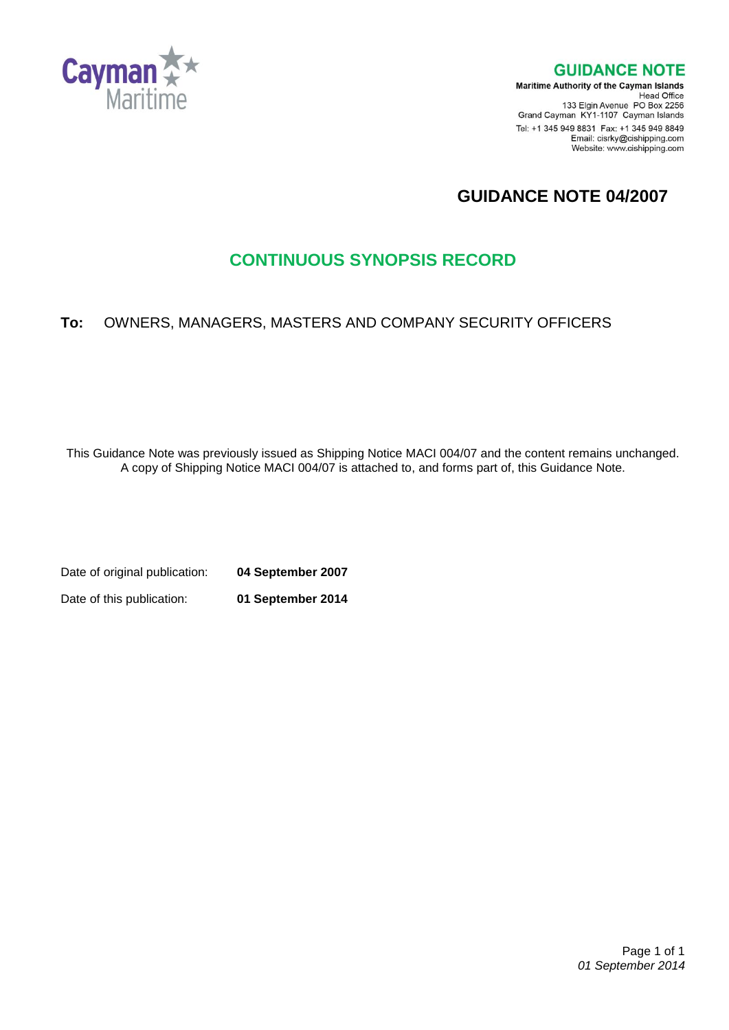

**GUIDANCE NOTE** 

**Maritime Authority of the Cayman Islands** Head Office<br>Head Office<br>133 Elgin Avenue PO Box 2256 Grand Cayman KY1-1107 Cayman Islands Tel: +1 345 949 8831 Fax: +1 345 949 8849 Email: cisrky@cishipping.com Website: www.cishipping.com

# **GUIDANCE NOTE 04/2007**

# **CONTINUOUS SYNOPSIS RECORD**

# **To:** OWNERS, MANAGERS, MASTERS AND COMPANY SECURITY OFFICERS

This Guidance Note was previously issued as Shipping Notice MACI 004/07 and the content remains unchanged. A copy of Shipping Notice MACI 004/07 is attached to, and forms part of, this Guidance Note.

Date of original publication: **04 September 2007** Date of this publication: **01 September 2014**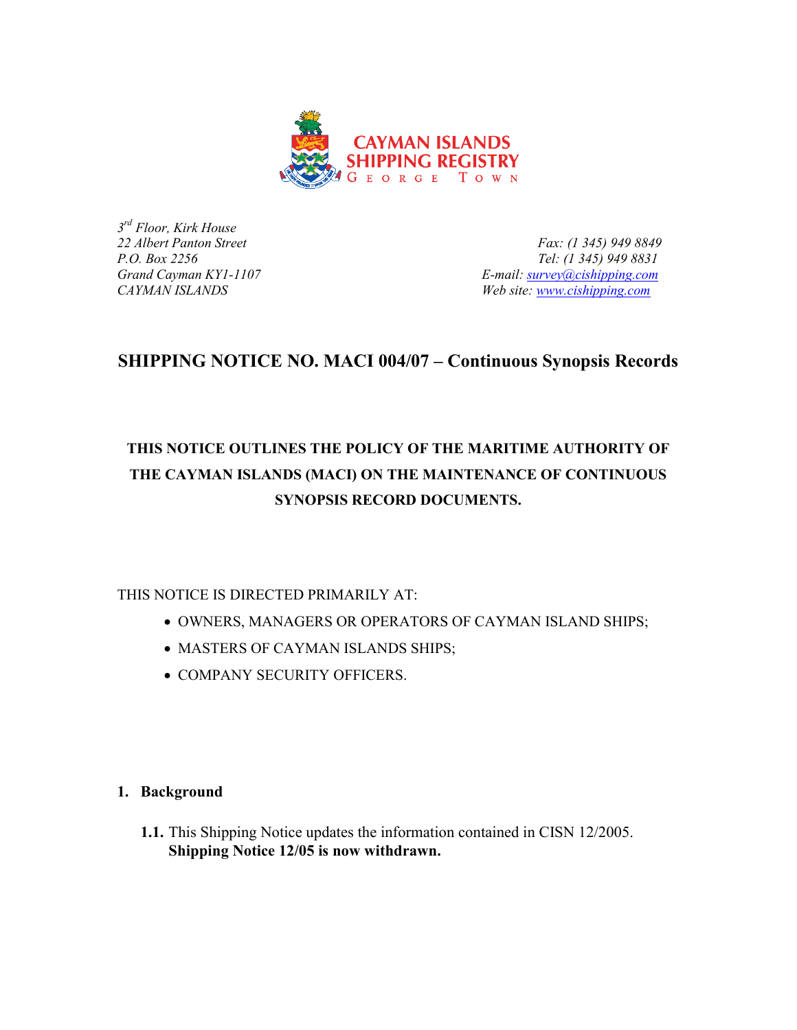

*3 rd Floor, Kirk House*

*22 Albert Panton Street Fax: (1 345) 949 8849 P.O. Box 2256 Tel: (1 345) 949 8831 Grand Cayman KY1-1107 E-mail: [survey@cishipping.com](mailto:survey@cishipping.com) CAYMAN ISLANDS Web site: [www.cishipping.com](http://www.cishipping.com/)*

# **SHIPPING NOTICE NO. MACI 004/07 – Continuous Synopsis Records**

# **THIS NOTICE OUTLINES THE POLICY OF THE MARITIME AUTHORITY OF THE CAYMAN ISLANDS (MACI) ON THE MAINTENANCE OF CONTINUOUS SYNOPSIS RECORD DOCUMENTS.**

THIS NOTICE IS DIRECTED PRIMARILY AT:

- OWNERS, MANAGERS OR OPERATORS OF CAYMAN ISLAND SHIPS;
- MASTERS OF CAYMAN ISLANDS SHIPS;
- COMPANY SECURITY OFFICERS.

## **1. Background**

**1.1.** This Shipping Notice updates the information contained in CISN 12/2005. **Shipping Notice 12/05 is now withdrawn.**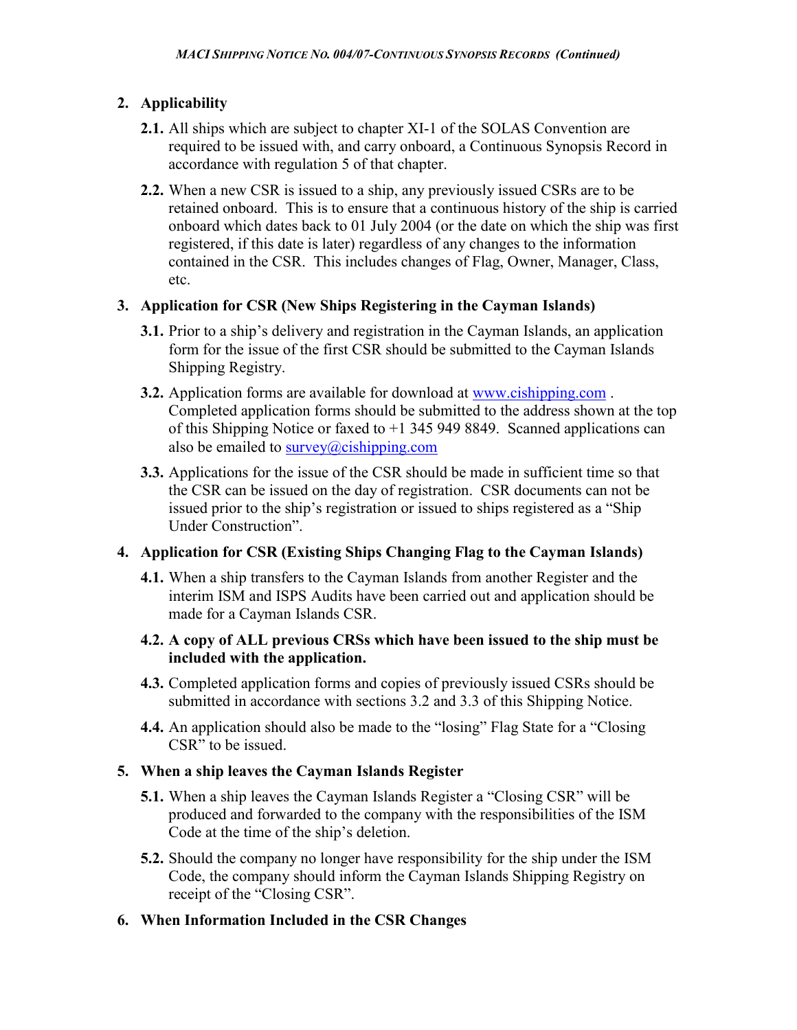## **2. Applicability**

- **2.1.** All ships which are subject to chapter XI-1 of the SOLAS Convention are required to be issued with, and carry onboard, a Continuous Synopsis Record in accordance with regulation 5 of that chapter.
- **2.2.** When a new CSR is issued to a ship, any previously issued CSRs are to be retained onboard. This is to ensure that a continuous history of the ship is carried onboard which dates back to 01 July 2004 (or the date on which the ship was first registered, if this date is later) regardless of any changes to the information contained in the CSR. This includes changes of Flag, Owner, Manager, Class, etc.

#### **3. Application for CSR (New Ships Registering in the Cayman Islands)**

- **3.1.** Prior to a ship's delivery and registration in the Cayman Islands, an application form for the issue of the first CSR should be submitted to the Cayman Islands Shipping Registry.
- **3.2.** Application forms are available for download at [www.cishipping.com](http://www.cishipping.com/). Completed application forms should be submitted to the address shown at the top of this Shipping Notice or faxed to +1 345 949 8849. Scanned applications can also be emailed to  $\frac{\text{survey}}{a\text{cishing.com}}$
- **3.3.** Applications for the issue of the CSR should be made in sufficient time so that the CSR can be issued on the day of registration. CSR documents can not be issued prior to the ship's registration or issued to ships registered as a "Ship Under Construction".

## **4. Application for CSR (Existing Ships Changing Flag to the Cayman Islands)**

**4.1.** When a ship transfers to the Cayman Islands from another Register and the interim ISM and ISPS Audits have been carried out and application should be made for a Cayman Islands CSR.

#### **4.2. A copy of ALL previous CRSs which have been issued to the ship must be included with the application.**

- **4.3.** Completed application forms and copies of previously issued CSRs should be submitted in accordance with sections 3.2 and 3.3 of this Shipping Notice.
- **4.4.** An application should also be made to the "losing" Flag State for a "Closing CSR" to be issued.

#### **5. When a ship leaves the Cayman Islands Register**

- **5.1.** When a ship leaves the Cayman Islands Register a "Closing CSR" will be produced and forwarded to the company with the responsibilities of the ISM Code at the time of the ship's deletion.
- **5.2.** Should the company no longer have responsibility for the ship under the ISM Code, the company should inform the Cayman Islands Shipping Registry on receipt of the "Closing CSR".

## **6. When Information Included in the CSR Changes**